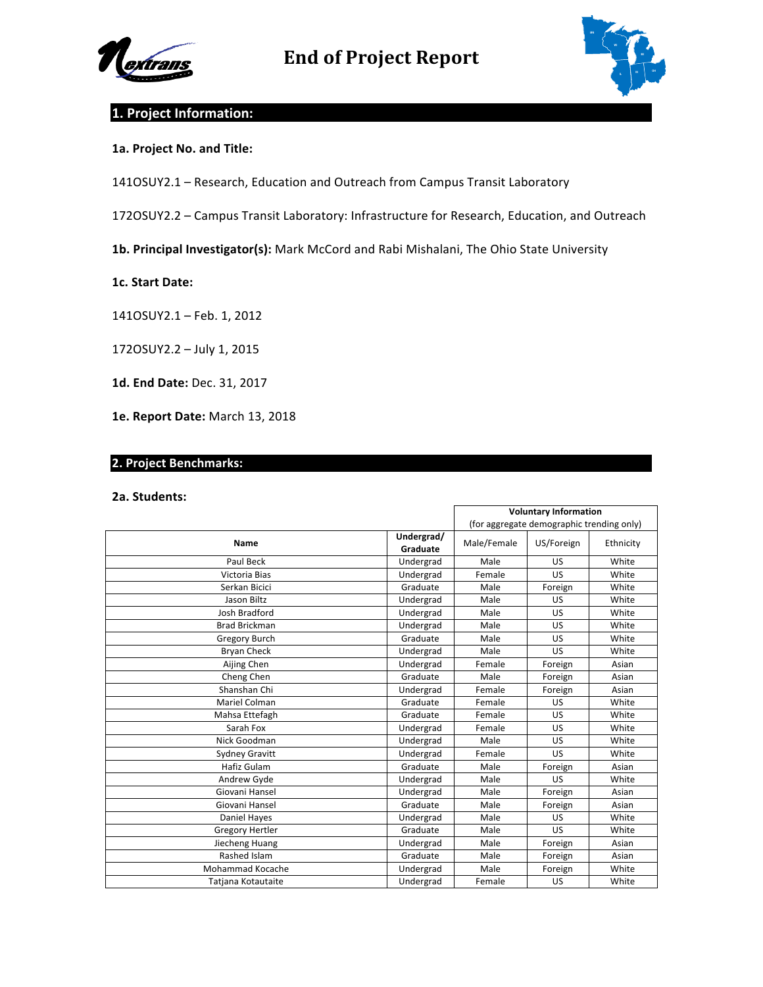



# **1. Project Information:**

## **1a. Project No. and Title:**

141OSUY2.1 - Research, Education and Outreach from Campus Transit Laboratory

172OSUY2.2 - Campus Transit Laboratory: Infrastructure for Research, Education, and Outreach

1b. Principal Investigator(s): Mark McCord and Rabi Mishalani, The Ohio State University

### **1c. Start Date:**

141OSUY2.1 - Feb. 1, 2012

172OSUY2.2 - July 1, 2015

1d. End Date: Dec. 31, 2017

1e. Report Date: March 13, 2018

# **2. Project Benchmarks:**

#### **2a. Students:**

|                        |                        | <b>Voluntary Information</b>              |            |           |
|------------------------|------------------------|-------------------------------------------|------------|-----------|
|                        |                        | (for aggregate demographic trending only) |            |           |
| <b>Name</b>            | Undergrad/<br>Graduate | Male/Female                               | US/Foreign | Ethnicity |
| Paul Beck              | Undergrad              | Male                                      | <b>US</b>  | White     |
| Victoria Bias          | Undergrad              | Female                                    | <b>US</b>  | White     |
| Serkan Bicici          | Graduate               | Male                                      | Foreign    | White     |
| Jason Biltz            | Undergrad              | Male                                      | <b>US</b>  | White     |
| Josh Bradford          | Undergrad              | Male                                      | <b>US</b>  | White     |
| <b>Brad Brickman</b>   | Undergrad              | Male                                      | <b>US</b>  | White     |
| <b>Gregory Burch</b>   | Graduate               | Male                                      | US         | White     |
| <b>Bryan Check</b>     | Undergrad              | Male                                      | <b>US</b>  | White     |
| Aijing Chen            | Undergrad              | Female                                    | Foreign    | Asian     |
| Cheng Chen             | Graduate               | Male                                      | Foreign    | Asian     |
| Shanshan Chi           | Undergrad              | Female                                    | Foreign    | Asian     |
| Mariel Colman          | Graduate               | Female                                    | <b>US</b>  | White     |
| Mahsa Ettefagh         | Graduate               | Female                                    | US         | White     |
| Sarah Fox              | Undergrad              | Female                                    | <b>US</b>  | White     |
| Nick Goodman           | Undergrad              | Male                                      | US         | White     |
| <b>Sydney Gravitt</b>  | Undergrad              | Female                                    | <b>US</b>  | White     |
| Hafiz Gulam            | Graduate               | Male                                      | Foreign    | Asian     |
| Andrew Gyde            | Undergrad              | Male                                      | <b>US</b>  | White     |
| Giovani Hansel         | Undergrad              | Male                                      | Foreign    | Asian     |
| Giovani Hansel         | Graduate               | Male                                      | Foreign    | Asian     |
| Daniel Hayes           | Undergrad              | Male                                      | <b>US</b>  | White     |
| <b>Gregory Hertler</b> | Graduate               | Male                                      | <b>US</b>  | White     |
| Jiecheng Huang         | Undergrad              | Male                                      | Foreign    | Asian     |
| Rashed Islam           | Graduate               | Male                                      | Foreign    | Asian     |
| Mohammad Kocache       | Undergrad              | Male                                      | Foreign    | White     |
| Tatjana Kotautaite     | Undergrad              | Female                                    | <b>US</b>  | White     |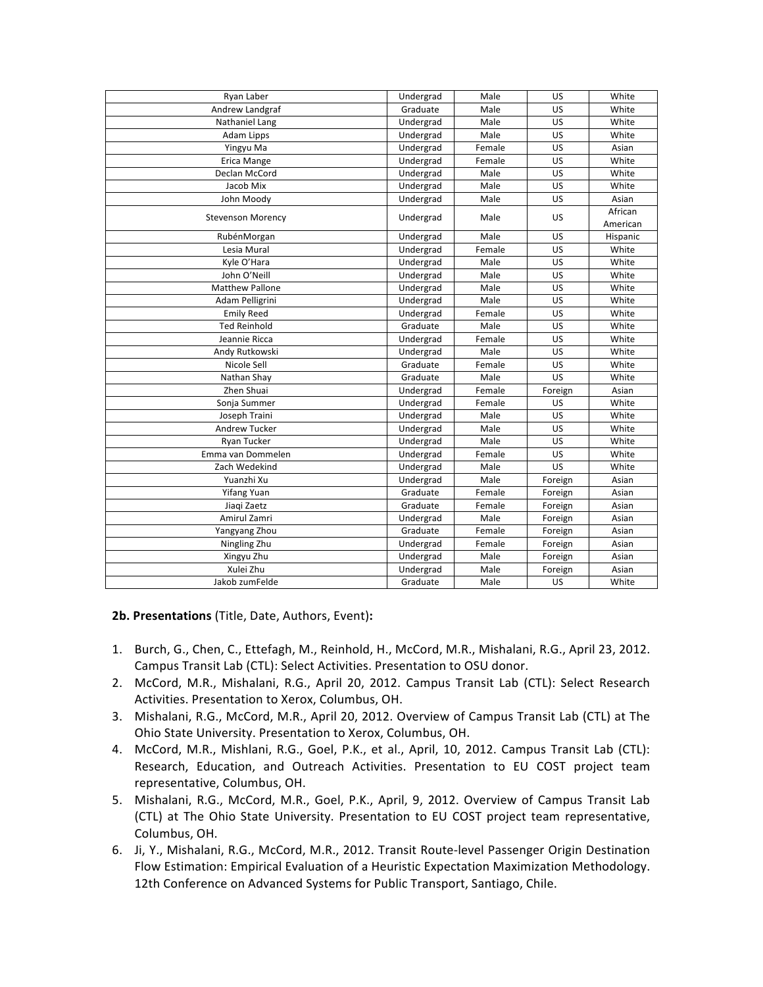| Ryan Laber               | Undergrad | Male   | US        | White    |
|--------------------------|-----------|--------|-----------|----------|
| Andrew Landgraf          | Graduate  | Male   | <b>US</b> | White    |
| Nathaniel Lang           | Undergrad | Male   | US.       | White    |
| Adam Lipps               | Undergrad | Male   | US        | White    |
| Yingyu Ma                | Undergrad | Female | US        | Asian    |
| Erica Mange              | Undergrad | Female | US        | White    |
| Declan McCord            | Undergrad | Male   | US        | White    |
| Jacob Mix                | Undergrad | Male   | US        | White    |
| John Moody               | Undergrad | Male   | US        | Asian    |
| <b>Stevenson Morency</b> | Undergrad | Male   | US        | African  |
|                          |           |        |           | American |
| RubénMorgan              | Undergrad | Male   | <b>US</b> | Hispanic |
| Lesia Mural              | Undergrad | Female | US        | White    |
| Kyle O'Hara              | Undergrad | Male   | US        | White    |
| John O'Neill             | Undergrad | Male   | US        | White    |
| <b>Matthew Pallone</b>   | Undergrad | Male   | US        | White    |
| Adam Pelligrini          | Undergrad | Male   | US        | White    |
| <b>Emily Reed</b>        | Undergrad | Female | US        | White    |
| <b>Ted Reinhold</b>      | Graduate  | Male   | US        | White    |
| Jeannie Ricca            | Undergrad | Female | US        | White    |
| Andy Rutkowski           | Undergrad | Male   | US        | White    |
| Nicole Sell              | Graduate  | Female | <b>US</b> | White    |
| Nathan Shay              | Graduate  | Male   | US        | White    |
| Zhen Shuai               | Undergrad | Female | Foreign   | Asian    |
| Sonja Summer             | Undergrad | Female | <b>US</b> | White    |
| Joseph Traini            | Undergrad | Male   | US        | White    |
| <b>Andrew Tucker</b>     | Undergrad | Male   | <b>US</b> | White    |
| <b>Ryan Tucker</b>       | Undergrad | Male   | US        | White    |
| Emma van Dommelen        | Undergrad | Female | US        | White    |
| Zach Wedekind            | Undergrad | Male   | US        | White    |
| Yuanzhi Xu               | Undergrad | Male   | Foreign   | Asian    |
| <b>Yifang Yuan</b>       | Graduate  | Female | Foreign   | Asian    |
| Jiagi Zaetz              | Graduate  | Female | Foreign   | Asian    |
| Amirul Zamri             | Undergrad | Male   | Foreign   | Asian    |
| Yangyang Zhou            | Graduate  | Female | Foreign   | Asian    |
| Ningling Zhu             | Undergrad | Female | Foreign   | Asian    |
| Xingyu Zhu               | Undergrad | Male   | Foreign   | Asian    |
| Xulei Zhu                | Undergrad | Male   | Foreign   | Asian    |
| Jakob zumFelde           | Graduate  | Male   | US        | White    |
|                          |           |        |           |          |

**2b. Presentations** (Title, Date, Authors, Event)**:**

- 1. Burch, G., Chen, C., Ettefagh, M., Reinhold, H., McCord, M.R., Mishalani, R.G., April 23, 2012. Campus Transit Lab (CTL): Select Activities. Presentation to OSU donor.
- 2. McCord, M.R., Mishalani, R.G., April 20, 2012. Campus Transit Lab (CTL): Select Research Activities. Presentation to Xerox, Columbus, OH.
- 3. Mishalani, R.G., McCord, M.R., April 20, 2012. Overview of Campus Transit Lab (CTL) at The Ohio State University. Presentation to Xerox, Columbus, OH.
- 4. McCord, M.R., Mishlani, R.G., Goel, P.K., et al., April, 10, 2012. Campus Transit Lab (CTL): Research, Education, and Outreach Activities. Presentation to EU COST project team representative, Columbus, OH.
- 5. Mishalani, R.G., McCord, M.R., Goel, P.K., April, 9, 2012. Overview of Campus Transit Lab (CTL) at The Ohio State University. Presentation to EU COST project team representative, Columbus, OH.
- 6. Ji, Y., Mishalani, R.G., McCord, M.R., 2012. Transit Route-level Passenger Origin Destination Flow Estimation: Empirical Evaluation of a Heuristic Expectation Maximization Methodology. 12th Conference on Advanced Systems for Public Transport, Santiago, Chile.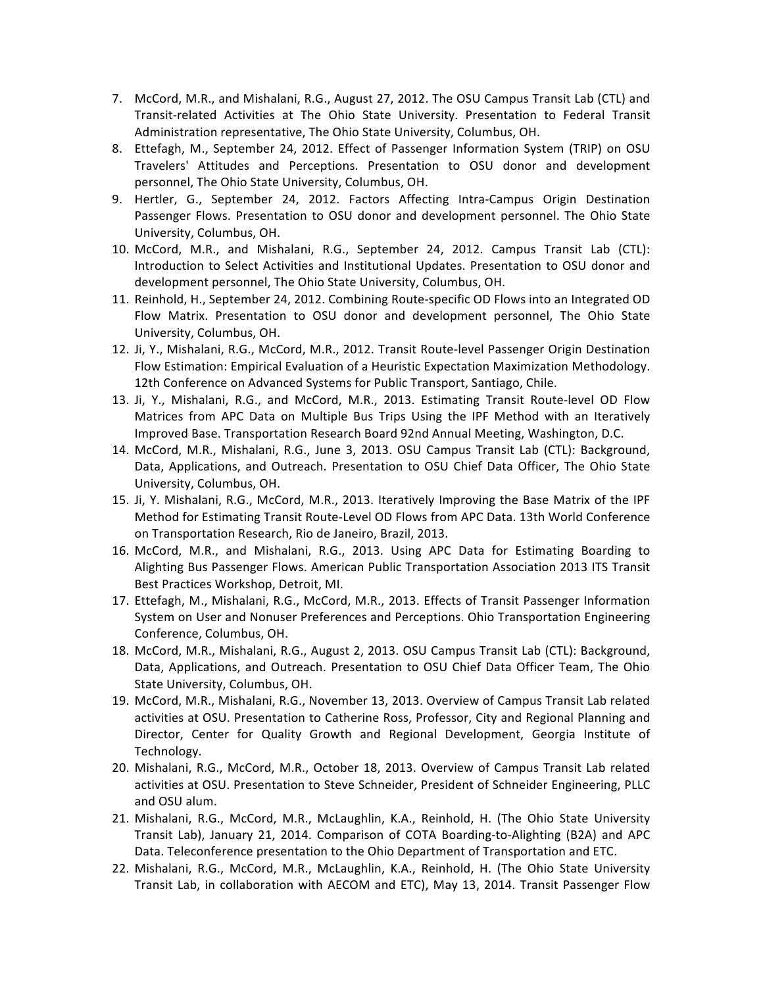- 7. McCord, M.R., and Mishalani, R.G., August 27, 2012. The OSU Campus Transit Lab (CTL) and Transit-related Activities at The Ohio State University. Presentation to Federal Transit Administration representative, The Ohio State University, Columbus, OH.
- 8. Ettefagh, M., September 24, 2012. Effect of Passenger Information System (TRIP) on OSU Travelers' Attitudes and Perceptions. Presentation to OSU donor and development personnel, The Ohio State University, Columbus, OH.
- 9. Hertler, G., September 24, 2012. Factors Affecting Intra-Campus Origin Destination Passenger Flows. Presentation to OSU donor and development personnel. The Ohio State University, Columbus, OH.
- 10. McCord, M.R., and Mishalani, R.G., September 24, 2012. Campus Transit Lab (CTL): Introduction to Select Activities and Institutional Updates. Presentation to OSU donor and development personnel, The Ohio State University, Columbus, OH.
- 11. Reinhold, H., September 24, 2012. Combining Route-specific OD Flows into an Integrated OD Flow Matrix. Presentation to OSU donor and development personnel, The Ohio State University, Columbus, OH.
- 12. Ji, Y., Mishalani, R.G., McCord, M.R., 2012. Transit Route-level Passenger Origin Destination Flow Estimation: Empirical Evaluation of a Heuristic Expectation Maximization Methodology. 12th Conference on Advanced Systems for Public Transport, Santiago, Chile.
- 13. Ji, Y., Mishalani, R.G., and McCord, M.R., 2013. Estimating Transit Route-level OD Flow Matrices from APC Data on Multiple Bus Trips Using the IPF Method with an Iteratively Improved Base. Transportation Research Board 92nd Annual Meeting, Washington, D.C.
- 14. McCord, M.R., Mishalani, R.G., June 3, 2013. OSU Campus Transit Lab (CTL): Background, Data, Applications, and Outreach. Presentation to OSU Chief Data Officer, The Ohio State University, Columbus, OH.
- 15. Ji, Y. Mishalani, R.G., McCord, M.R., 2013. Iteratively Improving the Base Matrix of the IPF Method for Estimating Transit Route-Level OD Flows from APC Data. 13th World Conference on Transportation Research, Rio de Janeiro, Brazil, 2013.
- 16. McCord, M.R., and Mishalani, R.G., 2013. Using APC Data for Estimating Boarding to Alighting Bus Passenger Flows. American Public Transportation Association 2013 ITS Transit Best Practices Workshop, Detroit, MI.
- 17. Ettefagh, M., Mishalani, R.G., McCord, M.R., 2013. Effects of Transit Passenger Information System on User and Nonuser Preferences and Perceptions. Ohio Transportation Engineering Conference, Columbus, OH.
- 18. McCord, M.R., Mishalani, R.G., August 2, 2013. OSU Campus Transit Lab (CTL): Background, Data, Applications, and Outreach. Presentation to OSU Chief Data Officer Team, The Ohio State University, Columbus, OH.
- 19. McCord, M.R., Mishalani, R.G., November 13, 2013. Overview of Campus Transit Lab related activities at OSU. Presentation to Catherine Ross, Professor, City and Regional Planning and Director, Center for Quality Growth and Regional Development, Georgia Institute of Technology.
- 20. Mishalani, R.G., McCord, M.R., October 18, 2013. Overview of Campus Transit Lab related activities at OSU. Presentation to Steve Schneider, President of Schneider Engineering, PLLC and OSU alum.
- 21. Mishalani, R.G., McCord, M.R., McLaughlin, K.A., Reinhold, H. (The Ohio State University Transit Lab), January 21, 2014. Comparison of COTA Boarding-to-Alighting (B2A) and APC Data. Teleconference presentation to the Ohio Department of Transportation and ETC.
- 22. Mishalani, R.G., McCord, M.R., McLaughlin, K.A., Reinhold, H. (The Ohio State University Transit Lab, in collaboration with AECOM and ETC), May 13, 2014. Transit Passenger Flow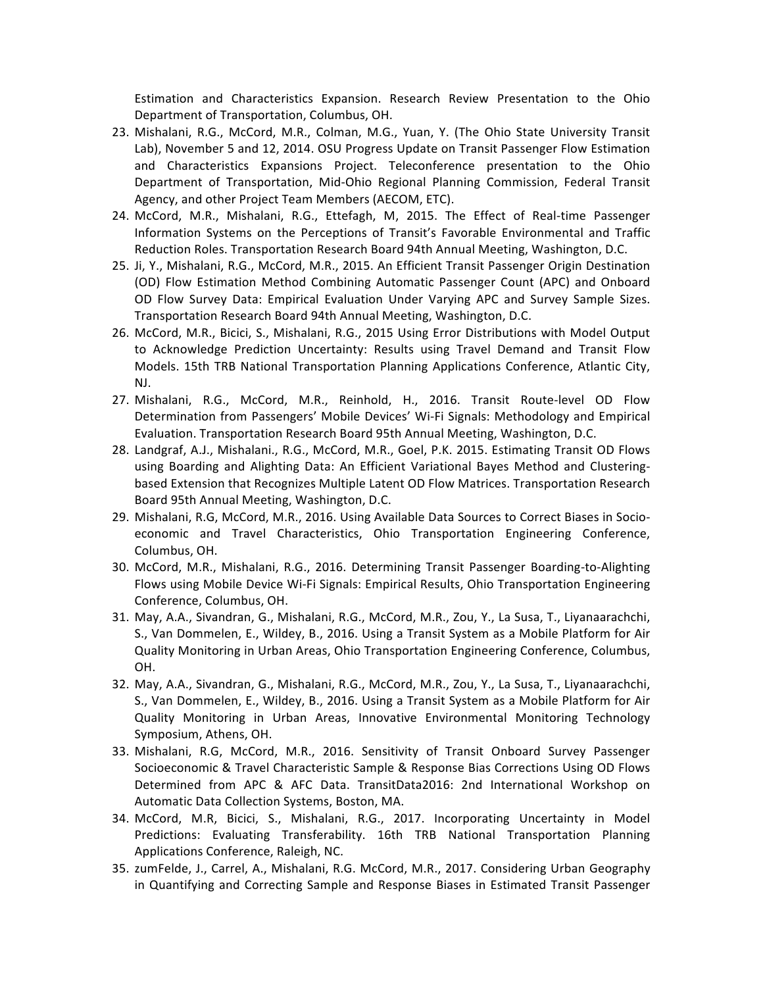Estimation and Characteristics Expansion. Research Review Presentation to the Ohio Department of Transportation, Columbus, OH.

- 23. Mishalani, R.G., McCord, M.R., Colman, M.G., Yuan, Y. (The Ohio State University Transit Lab), November 5 and 12, 2014. OSU Progress Update on Transit Passenger Flow Estimation and Characteristics Expansions Project. Teleconference presentation to the Ohio Department of Transportation, Mid-Ohio Regional Planning Commission, Federal Transit Agency, and other Project Team Members (AECOM, ETC).
- 24. McCord, M.R., Mishalani, R.G., Ettefagh, M, 2015. The Effect of Real-time Passenger Information Systems on the Perceptions of Transit's Favorable Environmental and Traffic Reduction Roles. Transportation Research Board 94th Annual Meeting, Washington, D.C.
- 25. Ji, Y., Mishalani, R.G., McCord, M.R., 2015. An Efficient Transit Passenger Origin Destination (OD) Flow Estimation Method Combining Automatic Passenger Count (APC) and Onboard OD Flow Survey Data: Empirical Evaluation Under Varying APC and Survey Sample Sizes. Transportation Research Board 94th Annual Meeting, Washington, D.C.
- 26. McCord, M.R., Bicici, S., Mishalani, R.G., 2015 Using Error Distributions with Model Output to Acknowledge Prediction Uncertainty: Results using Travel Demand and Transit Flow Models. 15th TRB National Transportation Planning Applications Conference, Atlantic City, NJ.
- 27. Mishalani, R.G., McCord, M.R., Reinhold, H., 2016. Transit Route-level OD Flow Determination from Passengers' Mobile Devices' Wi-Fi Signals: Methodology and Empirical Evaluation. Transportation Research Board 95th Annual Meeting, Washington, D.C.
- 28. Landgraf, A.J., Mishalani., R.G., McCord, M.R., Goel, P.K. 2015. Estimating Transit OD Flows using Boarding and Alighting Data: An Efficient Variational Bayes Method and Clusteringbased Extension that Recognizes Multiple Latent OD Flow Matrices. Transportation Research Board 95th Annual Meeting, Washington, D.C.
- 29. Mishalani, R.G, McCord, M.R., 2016. Using Available Data Sources to Correct Biases in Socioeconomic and Travel Characteristics, Ohio Transportation Engineering Conference, Columbus, OH.
- 30. McCord, M.R., Mishalani, R.G., 2016. Determining Transit Passenger Boarding-to-Alighting Flows using Mobile Device Wi-Fi Signals: Empirical Results, Ohio Transportation Engineering Conference, Columbus, OH.
- 31. May, A.A., Sivandran, G., Mishalani, R.G., McCord, M.R., Zou, Y., La Susa, T., Liyanaarachchi, S., Van Dommelen, E., Wildey, B., 2016. Using a Transit System as a Mobile Platform for Air Quality Monitoring in Urban Areas, Ohio Transportation Engineering Conference, Columbus, OH.
- 32. May, A.A., Sivandran, G., Mishalani, R.G., McCord, M.R., Zou, Y., La Susa, T., Liyanaarachchi, S., Van Dommelen, E., Wildey, B., 2016. Using a Transit System as a Mobile Platform for Air Quality Monitoring in Urban Areas, Innovative Environmental Monitoring Technology Symposium, Athens, OH.
- 33. Mishalani, R.G, McCord, M.R., 2016. Sensitivity of Transit Onboard Survey Passenger Socioeconomic & Travel Characteristic Sample & Response Bias Corrections Using OD Flows Determined from APC & AFC Data. TransitData2016: 2nd International Workshop on Automatic Data Collection Systems, Boston, MA.
- 34. McCord, M.R, Bicici, S., Mishalani, R.G., 2017. Incorporating Uncertainty in Model Predictions: Evaluating Transferability. 16th TRB National Transportation Planning Applications Conference, Raleigh, NC.
- 35. zumFelde, J., Carrel, A., Mishalani, R.G. McCord, M.R., 2017. Considering Urban Geography in Quantifying and Correcting Sample and Response Biases in Estimated Transit Passenger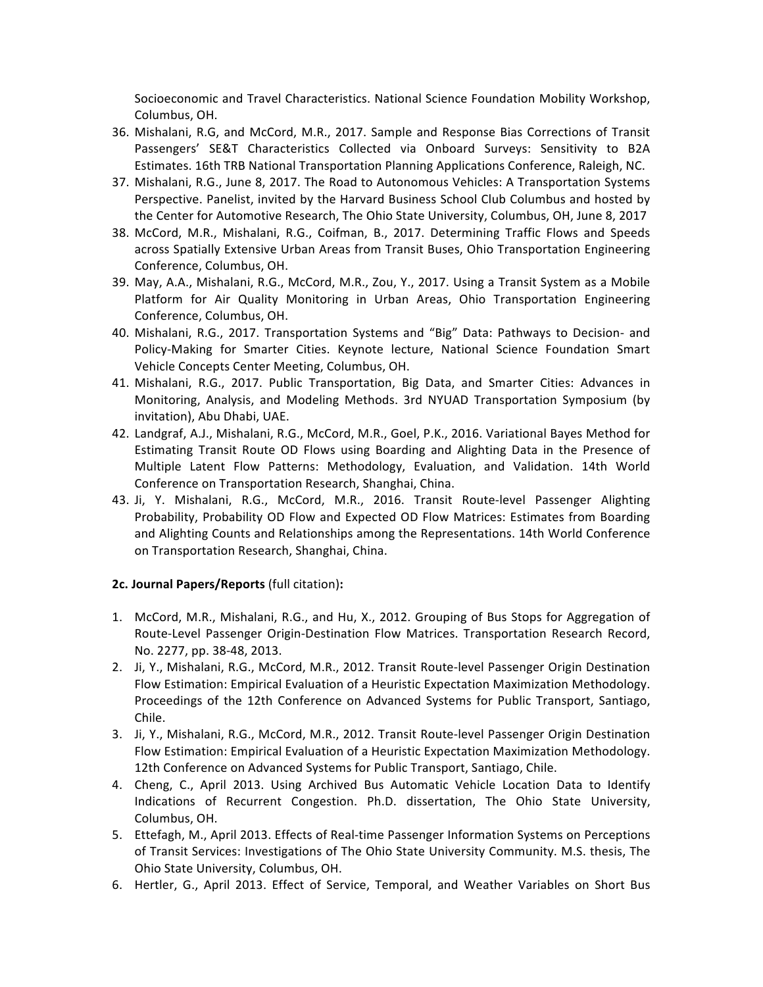Socioeconomic and Travel Characteristics. National Science Foundation Mobility Workshop, Columbus, OH.

- 36. Mishalani, R.G, and McCord, M.R., 2017. Sample and Response Bias Corrections of Transit Passengers' SE&T Characteristics Collected via Onboard Surveys: Sensitivity to B2A Estimates. 16th TRB National Transportation Planning Applications Conference, Raleigh, NC.
- 37. Mishalani, R.G., June 8, 2017. The Road to Autonomous Vehicles: A Transportation Systems Perspective. Panelist, invited by the Harvard Business School Club Columbus and hosted by the Center for Automotive Research, The Ohio State University, Columbus, OH, June 8, 2017
- 38. McCord, M.R., Mishalani, R.G., Coifman, B., 2017. Determining Traffic Flows and Speeds across Spatially Extensive Urban Areas from Transit Buses, Ohio Transportation Engineering Conference, Columbus, OH.
- 39. May, A.A., Mishalani, R.G., McCord, M.R., Zou, Y., 2017. Using a Transit System as a Mobile Platform for Air Quality Monitoring in Urban Areas, Ohio Transportation Engineering Conference, Columbus, OH.
- 40. Mishalani, R.G., 2017. Transportation Systems and "Big" Data: Pathways to Decision- and Policy-Making for Smarter Cities. Keynote lecture, National Science Foundation Smart Vehicle Concepts Center Meeting, Columbus, OH.
- 41. Mishalani, R.G., 2017. Public Transportation, Big Data, and Smarter Cities: Advances in Monitoring, Analysis, and Modeling Methods. 3rd NYUAD Transportation Symposium (by invitation), Abu Dhabi, UAE.
- 42. Landgraf, A.J., Mishalani, R.G., McCord, M.R., Goel, P.K., 2016. Variational Bayes Method for Estimating Transit Route OD Flows using Boarding and Alighting Data in the Presence of Multiple Latent Flow Patterns: Methodology, Evaluation, and Validation. 14th World Conference on Transportation Research, Shanghai, China.
- 43. Ji, Y. Mishalani, R.G., McCord, M.R., 2016. Transit Route-level Passenger Alighting Probability, Probability OD Flow and Expected OD Flow Matrices: Estimates from Boarding and Alighting Counts and Relationships among the Representations. 14th World Conference on Transportation Research, Shanghai, China.

## **2c. Journal Papers/Reports** (full citation)**:**

- 1. McCord, M.R., Mishalani, R.G., and Hu, X., 2012. Grouping of Bus Stops for Aggregation of Route-Level Passenger Origin-Destination Flow Matrices. Transportation Research Record, No. 2277, pp. 38-48, 2013.
- 2. Ji, Y., Mishalani, R.G., McCord, M.R., 2012. Transit Route-level Passenger Origin Destination Flow Estimation: Empirical Evaluation of a Heuristic Expectation Maximization Methodology. Proceedings of the 12th Conference on Advanced Systems for Public Transport, Santiago, Chile.
- 3. Ji, Y., Mishalani, R.G., McCord, M.R., 2012. Transit Route-level Passenger Origin Destination Flow Estimation: Empirical Evaluation of a Heuristic Expectation Maximization Methodology. 12th Conference on Advanced Systems for Public Transport, Santiago, Chile.
- 4. Cheng, C., April 2013. Using Archived Bus Automatic Vehicle Location Data to Identify Indications of Recurrent Congestion. Ph.D. dissertation, The Ohio State University, Columbus, OH.
- 5. Ettefagh, M., April 2013. Effects of Real-time Passenger Information Systems on Perceptions of Transit Services: Investigations of The Ohio State University Community. M.S. thesis, The Ohio State University, Columbus, OH.
- 6. Hertler, G., April 2013. Effect of Service, Temporal, and Weather Variables on Short Bus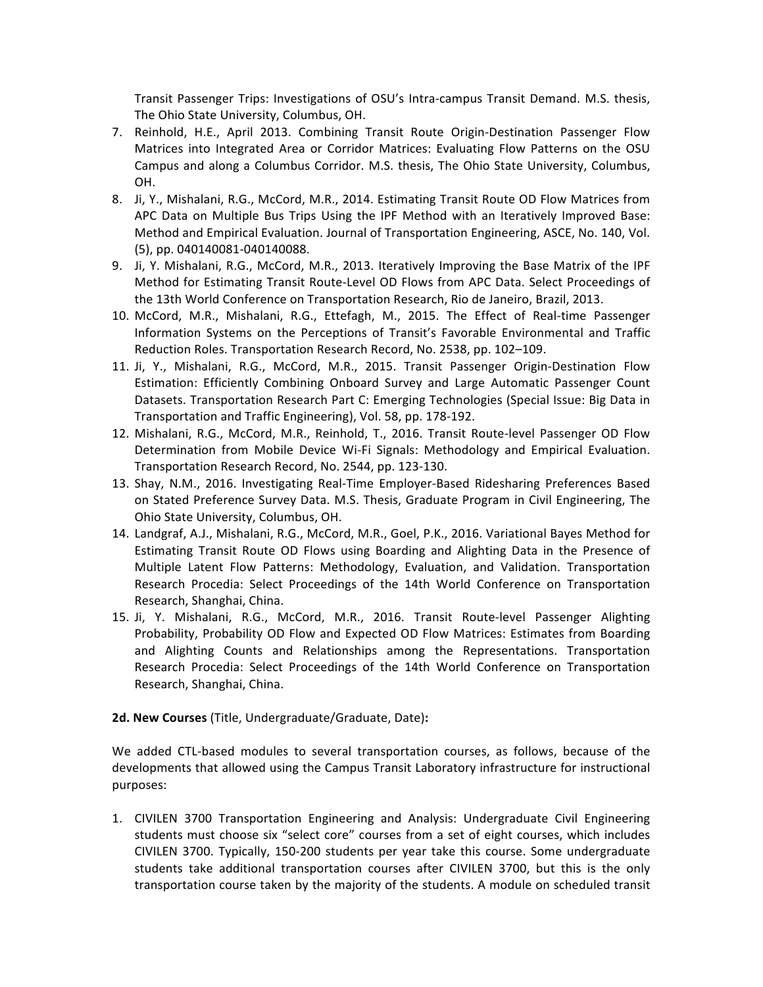Transit Passenger Trips: Investigations of OSU's Intra-campus Transit Demand. M.S. thesis, The Ohio State University, Columbus, OH.

- 7. Reinhold, H.E., April 2013. Combining Transit Route Origin-Destination Passenger Flow Matrices into Integrated Area or Corridor Matrices: Evaluating Flow Patterns on the OSU Campus and along a Columbus Corridor. M.S. thesis, The Ohio State University, Columbus, OH.
- 8. Ji, Y., Mishalani, R.G., McCord, M.R., 2014. Estimating Transit Route OD Flow Matrices from APC Data on Multiple Bus Trips Using the IPF Method with an Iteratively Improved Base: Method and Empirical Evaluation. Journal of Transportation Engineering, ASCE, No. 140, Vol. (5), pp. 040140081-040140088.
- 9. Ji, Y. Mishalani, R.G., McCord, M.R., 2013. Iteratively Improving the Base Matrix of the IPF Method for Estimating Transit Route-Level OD Flows from APC Data. Select Proceedings of the 13th World Conference on Transportation Research, Rio de Janeiro, Brazil, 2013.
- 10. McCord, M.R., Mishalani, R.G., Ettefagh, M., 2015. The Effect of Real-time Passenger Information Systems on the Perceptions of Transit's Favorable Environmental and Traffic Reduction Roles. Transportation Research Record, No. 2538, pp. 102-109.
- 11. Ji, Y., Mishalani, R.G., McCord, M.R., 2015. Transit Passenger Origin-Destination Flow Estimation: Efficiently Combining Onboard Survey and Large Automatic Passenger Count Datasets. Transportation Research Part C: Emerging Technologies (Special Issue: Big Data in Transportation and Traffic Engineering), Vol. 58, pp. 178-192.
- 12. Mishalani, R.G., McCord, M.R., Reinhold, T., 2016. Transit Route-level Passenger OD Flow Determination from Mobile Device Wi-Fi Signals: Methodology and Empirical Evaluation. Transportation Research Record, No. 2544, pp. 123-130.
- 13. Shay, N.M., 2016. Investigating Real-Time Employer-Based Ridesharing Preferences Based on Stated Preference Survey Data. M.S. Thesis, Graduate Program in Civil Engineering, The Ohio State University, Columbus, OH.
- 14. Landgraf, A.J., Mishalani, R.G., McCord, M.R., Goel, P.K., 2016. Variational Bayes Method for Estimating Transit Route OD Flows using Boarding and Alighting Data in the Presence of Multiple Latent Flow Patterns: Methodology, Evaluation, and Validation. Transportation Research Procedia: Select Proceedings of the 14th World Conference on Transportation Research, Shanghai, China.
- 15. Ji, Y. Mishalani, R.G., McCord, M.R., 2016. Transit Route-level Passenger Alighting Probability, Probability OD Flow and Expected OD Flow Matrices: Estimates from Boarding and Alighting Counts and Relationships among the Representations. Transportation Research Procedia: Select Proceedings of the 14th World Conference on Transportation Research, Shanghai, China.
- **2d. New Courses** (Title, Undergraduate/Graduate, Date):

We added CTL-based modules to several transportation courses, as follows, because of the developments that allowed using the Campus Transit Laboratory infrastructure for instructional purposes:

1. CIVILEN 3700 Transportation Engineering and Analysis: Undergraduate Civil Engineering students must choose six "select core" courses from a set of eight courses, which includes CIVILEN 3700. Typically, 150-200 students per year take this course. Some undergraduate students take additional transportation courses after CIVILEN 3700, but this is the only transportation course taken by the majority of the students. A module on scheduled transit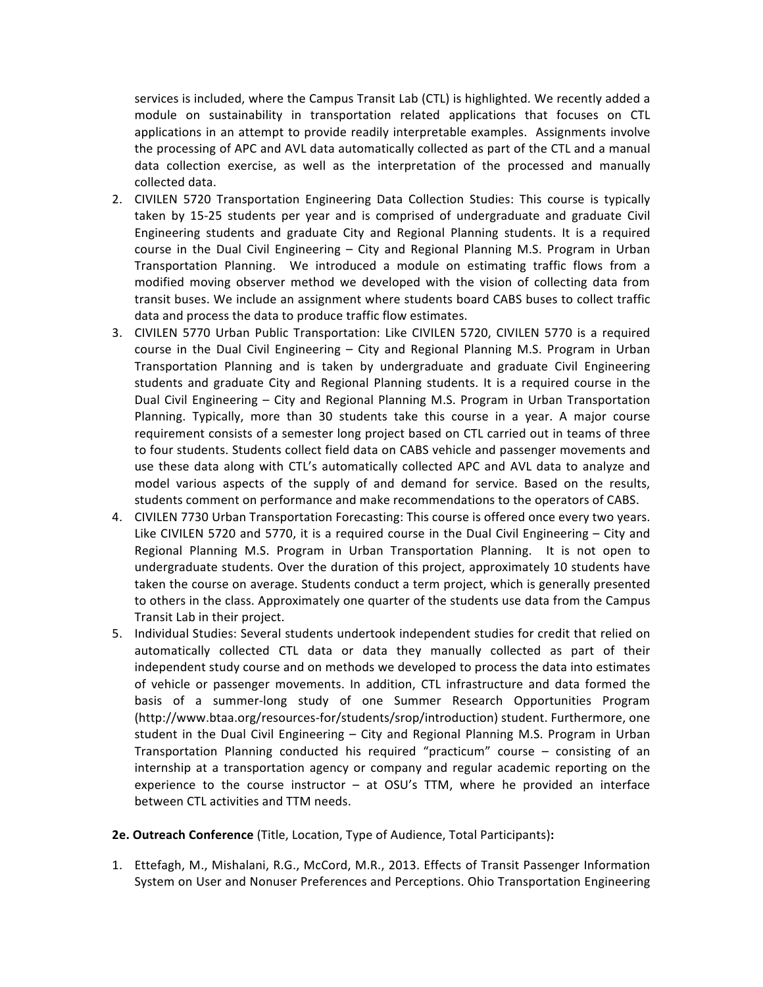services is included, where the Campus Transit Lab (CTL) is highlighted. We recently added a module on sustainability in transportation related applications that focuses on CTL applications in an attempt to provide readily interpretable examples. Assignments involve the processing of APC and AVL data automatically collected as part of the CTL and a manual data collection exercise, as well as the interpretation of the processed and manually collected data.

- 2. CIVILEN 5720 Transportation Engineering Data Collection Studies: This course is typically taken by 15-25 students per year and is comprised of undergraduate and graduate Civil Engineering students and graduate City and Regional Planning students. It is a required course in the Dual Civil Engineering  $-$  City and Regional Planning M.S. Program in Urban Transportation Planning. We introduced a module on estimating traffic flows from a modified moving observer method we developed with the vision of collecting data from transit buses. We include an assignment where students board CABS buses to collect traffic data and process the data to produce traffic flow estimates.
- 3. CIVILEN 5770 Urban Public Transportation: Like CIVILEN 5720, CIVILEN 5770 is a required course in the Dual Civil Engineering - City and Regional Planning M.S. Program in Urban Transportation Planning and is taken by undergraduate and graduate Civil Engineering students and graduate City and Regional Planning students. It is a required course in the Dual Civil Engineering – City and Regional Planning M.S. Program in Urban Transportation Planning. Typically, more than 30 students take this course in a year. A major course requirement consists of a semester long project based on CTL carried out in teams of three to four students. Students collect field data on CABS vehicle and passenger movements and use these data along with CTL's automatically collected APC and AVL data to analyze and model various aspects of the supply of and demand for service. Based on the results, students comment on performance and make recommendations to the operators of CABS.
- 4. CIVILEN 7730 Urban Transportation Forecasting: This course is offered once every two years. Like CIVILEN 5720 and 5770, it is a required course in the Dual Civil Engineering  $-$  City and Regional Planning M.S. Program in Urban Transportation Planning. It is not open to undergraduate students. Over the duration of this project, approximately 10 students have taken the course on average. Students conduct a term project, which is generally presented to others in the class. Approximately one quarter of the students use data from the Campus Transit Lab in their project.
- 5. Individual Studies: Several students undertook independent studies for credit that relied on automatically collected CTL data or data they manually collected as part of their independent study course and on methods we developed to process the data into estimates of vehicle or passenger movements. In addition, CTL infrastructure and data formed the basis of a summer-long study of one Summer Research Opportunities Program (http://www.btaa.org/resources-for/students/srop/introduction) student. Furthermore, one student in the Dual Civil Engineering  $-$  City and Regional Planning M.S. Program in Urban Transportation Planning conducted his required "practicum" course  $-$  consisting of an internship at a transportation agency or company and regular academic reporting on the experience to the course instructor  $-$  at OSU's TTM, where he provided an interface between CTL activities and TTM needs.
- **2e. Outreach Conference** (Title, Location, Type of Audience, Total Participants):
- 1. Ettefagh, M., Mishalani, R.G., McCord, M.R., 2013. Effects of Transit Passenger Information System on User and Nonuser Preferences and Perceptions. Ohio Transportation Engineering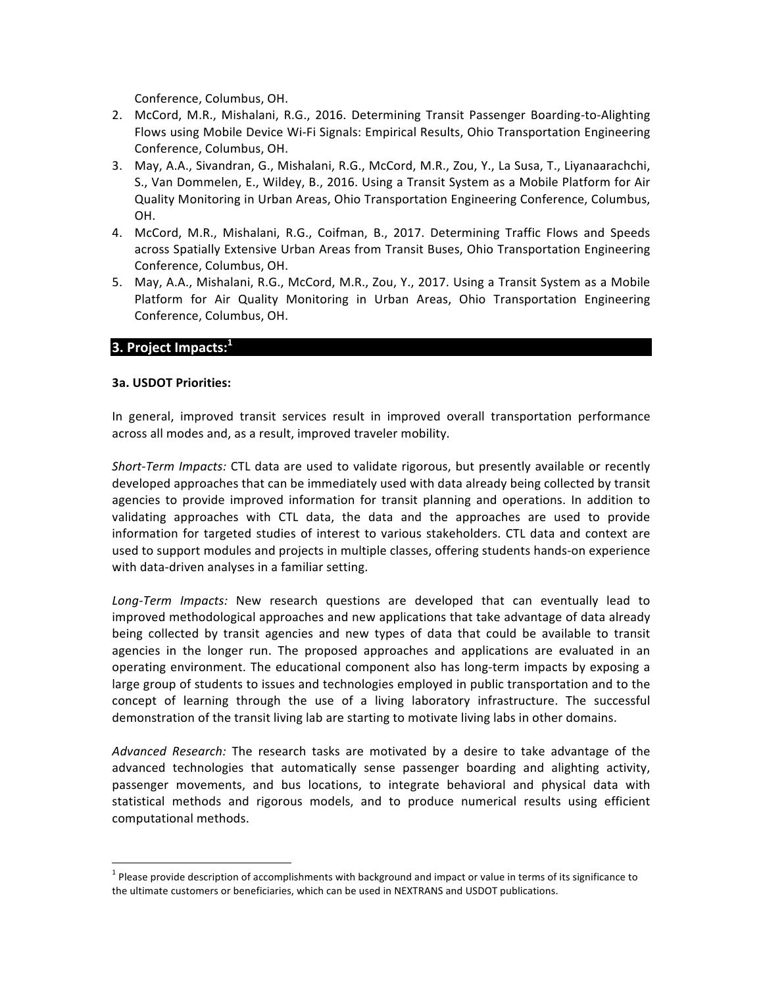Conference, Columbus, OH.

- 2. McCord, M.R., Mishalani, R.G., 2016. Determining Transit Passenger Boarding-to-Alighting Flows using Mobile Device Wi-Fi Signals: Empirical Results, Ohio Transportation Engineering Conference, Columbus, OH.
- 3. May, A.A., Sivandran, G., Mishalani, R.G., McCord, M.R., Zou, Y., La Susa, T., Liyanaarachchi, S., Van Dommelen, E., Wildey, B., 2016. Using a Transit System as a Mobile Platform for Air Quality Monitoring in Urban Areas, Ohio Transportation Engineering Conference, Columbus, OH.
- 4. McCord, M.R., Mishalani, R.G., Coifman, B., 2017. Determining Traffic Flows and Speeds across Spatially Extensive Urban Areas from Transit Buses, Ohio Transportation Engineering Conference, Columbus, OH.
- 5. May, A.A., Mishalani, R.G., McCord, M.R., Zou, Y., 2017. Using a Transit System as a Mobile Platform for Air Quality Monitoring in Urban Areas, Ohio Transportation Engineering Conference, Columbus, OH.

## **3. Project Impacts:**<sup>1</sup>

### **3a. USDOT Priorities:**

In general, improved transit services result in improved overall transportation performance across all modes and, as a result, improved traveler mobility.

Short-Term Impacts: CTL data are used to validate rigorous, but presently available or recently developed approaches that can be immediately used with data already being collected by transit agencies to provide improved information for transit planning and operations. In addition to validating approaches with CTL data, the data and the approaches are used to provide information for targeted studies of interest to various stakeholders. CTL data and context are used to support modules and projects in multiple classes, offering students hands-on experience with data-driven analyses in a familiar setting.

Long-Term Impacts: New research questions are developed that can eventually lead to improved methodological approaches and new applications that take advantage of data already being collected by transit agencies and new types of data that could be available to transit agencies in the longer run. The proposed approaches and applications are evaluated in an operating environment. The educational component also has long-term impacts by exposing a large group of students to issues and technologies employed in public transportation and to the concept of learning through the use of a living laboratory infrastructure. The successful demonstration of the transit living lab are starting to motivate living labs in other domains.

Advanced Research: The research tasks are motivated by a desire to take advantage of the advanced technologies that automatically sense passenger boarding and alighting activity, passenger movements, and bus locations, to integrate behavioral and physical data with statistical methods and rigorous models, and to produce numerical results using efficient computational methods.

 $1$  Please provide description of accomplishments with background and impact or value in terms of its significance to the ultimate customers or beneficiaries, which can be used in NEXTRANS and USDOT publications.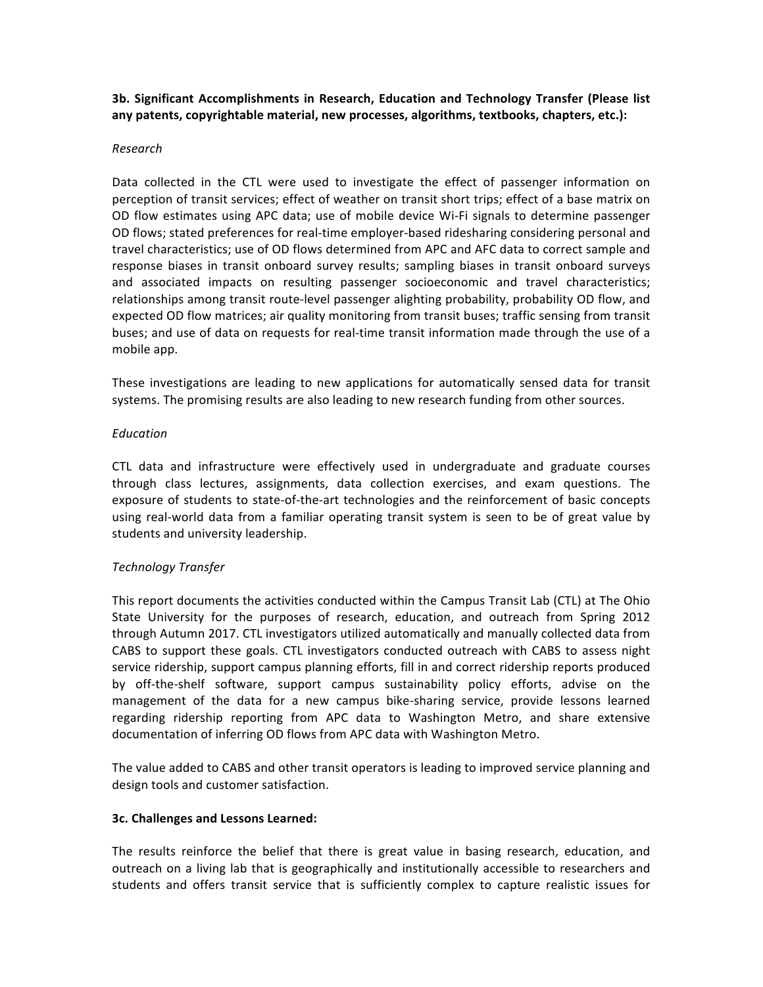**3b. Significant Accomplishments in Research, Education and Technology Transfer (Please list** any patents, copyrightable material, new processes, algorithms, textbooks, chapters, etc.):

### *Research*

Data collected in the CTL were used to investigate the effect of passenger information on perception of transit services; effect of weather on transit short trips; effect of a base matrix on OD flow estimates using APC data; use of mobile device Wi-Fi signals to determine passenger OD flows; stated preferences for real-time employer-based ridesharing considering personal and travel characteristics; use of OD flows determined from APC and AFC data to correct sample and response biases in transit onboard survey results; sampling biases in transit onboard surveys and associated impacts on resulting passenger socioeconomic and travel characteristics; relationships among transit route-level passenger alighting probability, probability OD flow, and expected OD flow matrices; air quality monitoring from transit buses; traffic sensing from transit buses; and use of data on requests for real-time transit information made through the use of a mobile app.

These investigations are leading to new applications for automatically sensed data for transit systems. The promising results are also leading to new research funding from other sources.

### *Education*

CTL data and infrastructure were effectively used in undergraduate and graduate courses through class lectures, assignments, data collection exercises, and exam questions. The exposure of students to state-of-the-art technologies and the reinforcement of basic concepts using real-world data from a familiar operating transit system is seen to be of great value by students and university leadership.

## *Technology Transfer*

This report documents the activities conducted within the Campus Transit Lab (CTL) at The Ohio State University for the purposes of research, education, and outreach from Spring 2012 through Autumn 2017. CTL investigators utilized automatically and manually collected data from CABS to support these goals. CTL investigators conducted outreach with CABS to assess night service ridership, support campus planning efforts, fill in and correct ridership reports produced by off-the-shelf software, support campus sustainability policy efforts, advise on the management of the data for a new campus bike-sharing service, provide lessons learned regarding ridership reporting from APC data to Washington Metro, and share extensive documentation of inferring OD flows from APC data with Washington Metro.

The value added to CABS and other transit operators is leading to improved service planning and design tools and customer satisfaction.

### **3c. Challenges and Lessons Learned:**

The results reinforce the belief that there is great value in basing research, education, and outreach on a living lab that is geographically and institutionally accessible to researchers and students and offers transit service that is sufficiently complex to capture realistic issues for